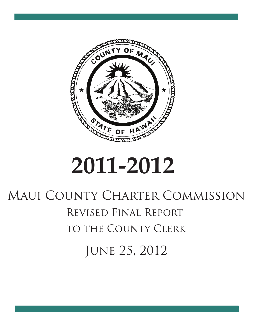

# **2011-2012**

# Maui County Charter Commission Revised Final Report to the County Clerk June 25, 2012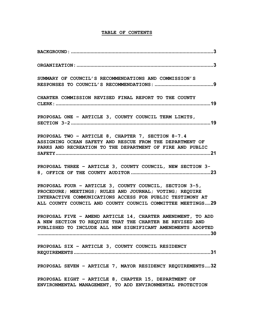# TABLE OF CONTENTS

| SUMMARY OF COUNCIL'S RECOMMENDATIONS AND COMMISSION'S                                                                                                                                                                                         |
|-----------------------------------------------------------------------------------------------------------------------------------------------------------------------------------------------------------------------------------------------|
| CHARTER COMMISSION REVISED FINAL REPORT TO THE COUNTY                                                                                                                                                                                         |
| PROPOSAL ONE - ARTICLE 3, COUNTY COUNCIL TERM LIMITS,                                                                                                                                                                                         |
| PROPOSAL TWO - ARTICLE 8, CHAPTER 7, SECTION 8-7.4<br>ASSIGNING OCEAN SAFETY AND RESCUE FROM THE DEPARTMENT OF<br>PARKS AND RECREATION TO THE DEPARTMENT OF FIRE AND PUBLIC                                                                   |
| PROPOSAL THREE - ARTICLE 3, COUNTY COUNCIL, NEW SECTION 3-                                                                                                                                                                                    |
| PROPOSAL FOUR - ARTICLE 3, COUNTY COUNCIL, SECTION 3-5,<br>PROCEDURE; MEETINGS; RULES AND JOURNAL; VOTING; REQUIRE<br>INTERACTIVE COMMUNICATIONS ACCESS FOR PUBLIC TESTIMONY AT<br>ALL COUNTY COUNCIL AND COUNTY COUNCIL COMMITTEE MEETINGS29 |
| PROPOSAL FIVE - AMEND ARTICLE 14, CHARTER AMENDMENT, TO ADD<br>A NEW SECTION TO REQUIRE THAT THE CHARTER BE REVISED AND<br>PUBLISHED TO INCLUDE ALL NEW SIGNIFICANT AMENDMENTS ADOPTED<br>30.                                                 |
| PROPOSAL SIX - ARTICLE 3, COUNTY COUNCIL RESIDENCY                                                                                                                                                                                            |
| PROPOSAL SEVEN - ARTICLE 7, MAYOR RESIDENCY REQUIREMENTS32                                                                                                                                                                                    |
| PROPOSAL EIGHT - ARTICLE 8, CHAPTER 15, DEPARTMENT OF<br>ENVIRONMENTAL MANAGEMENT, TO ADD ENVIRONMENTAL PROTECTION                                                                                                                            |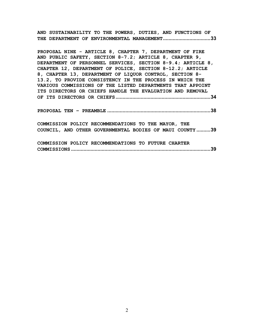AND SUSTAINABILITY TO THE POWERS, DUTIES, AND FUNCTIONS OF THE DEPARTMENT OF ENVIRONMENTAL MANAGEMENT..................................33

PROPOSAL NINE - ARTICLE 8, CHAPTER 7, DEPARTMENT OF FIRE AND PUBLIC SAFETY, SECTION 8-7.2; ARTICLE 8, CHAPTER 9, DEPARTMENT OF PERSONNEL SERVICES, SECTION 8-9.4; ARTICLE 8, CHAPTER 12, DEPARTMENT OF POLICE, SECTION 8-12.2; ARTICLE 8, CHAPTER 13, DEPARTMENT OF LIQUOR CONTROL, SECTION 8- 13.2, TO PROVIDE CONSISTENCY IN THE PROCESS IN WHICH THE VARIOUS COMMISSIONS OF THE LISTED DEPARTMENTS THAT APPOINT ITS DIRECTORS OR CHIEFS HANDLE THE EVALUATION AND REMOVAL OF ITS DIRECTORS OR CHIEFS....................................................................34

PROPOSAL TEN – PREAMBLE ..........................................................................38

COMMISSION POLICY RECOMMENDATIONS TO THE MAYOR, THE COUNCIL, AND OTHER GOVERNMENTAL BODIES OF MAUI COUNTY ..........39

COMMISSION POLICY RECOMMENDATIONS TO FUTURE CHARTER COMMISSIONS ....................................................................................................39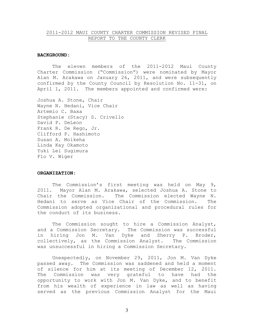#### 2011-2012 MAUI COUNTY CHARTER COMMISSION REVISED FINAL REPORT TO THE COUNTY CLERK

#### BACKGROUND:

 The eleven members of the 2011-2012 Maui County Charter Commission ("Commission") were nominated by Mayor Alan M. Arakawa on January 26, 2011, and were subsequently confirmed by the County Council by Resolution No. 11-31, on April 1, 2011. The members appointed and confirmed were:

Joshua A. Stone, Chair Wayne N. Hedani, Vice Chair Artemio C. Baxa Stephanie (Stacy) S. Crivello David P. DeLeon Frank R. De Rego, Jr. Clifford P. Hashimoto Susan A. Moikeha Linda Kay Okamoto Yuki Lei Sugimura Flo V. Wiger

#### ORGANIZATION:

The Commission's first meeting was held on May 9, 2011. Mayor Alan M. Arakawa, selected Joshua A. Stone to Chair the Commission. The Commission elected Wayne N. Hedani to serve as Vice Chair of the Commission. The Commission adopted organizational and procedural rules for the conduct of its business.

 The Commission sought to hire a Commission Analyst, and a Commission Secretary. The Commission was successful in hiring Jon M. Van Dyke and Sherry P. Broder, collectively, as the Commission Analyst. The Commission was unsuccessful in hiring a Commission Secretary.

 Unexpectedly, on November 29, 2011, Jon M. Van Dyke passed away. The Commission was saddened and held a moment of silence for him at its meeting of December 12, 2011. The Commission was very grateful to have had the opportunity to work with Jon M. Van Dyke, and to benefit from his wealth of experience in law as well as having served as the previous Commission Analyst for the Maui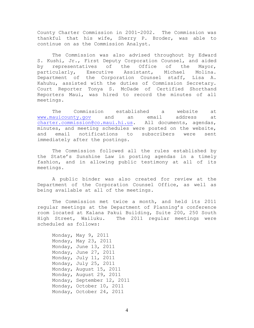County Charter Commission in 2001-2002. The Commission was thankful that his wife, Sherry P. Broder, was able to continue on as the Commission Analyst.

 The Commission was also advised throughout by Edward S. Kushi, Jr., First Deputy Corporation Counsel, and aided by representatives of the Office of the Mayor, particularly, Executive Assistant, Michael Molina. Department of the Corporation Counsel staff, Lisa A. Kahuhu, assisted with the duties of Commission Secretary. Court Reporter Tonya S. McDade of Certified Shorthand Reporters Maui, was hired to record the minutes of all meetings.

 The Commission established a website at www.mauicounty.gov and an email address at charter.commission@co.maui.hi.us. All documents, agendas, minutes, and meeting schedules were posted on the website, and email notifications to subscribers were sent immediately after the postings.

 The Commission followed all the rules established by the State's Sunshine Law in posting agendas in a timely fashion, and in allowing public testimony at all of its meetings.

 A public binder was also created for review at the Department of the Corporation Counsel Office, as well as being available at all of the meetings.

 The Commission met twice a month, and held its 2011 regular meetings at the Department of Planning's conference room located at Kalana Pakui Building, Suite 200, 250 South High Street, Wailuku. The 2011 regular meetings were scheduled as follows:

| Monday, May $9$ , 2011     |
|----------------------------|
| Monday, May 23, 2011       |
| Monday, June 13, 2011      |
| Monday, June 27, 2011      |
| Monday, July 11, 2011      |
| Monday, July 25, 2011      |
| Monday, August 15, 2011    |
| Monday, August 29, 2011    |
| Monday, September 12, 2011 |
| Monday, October 10, 2011   |
| Monday, October 24, 2011   |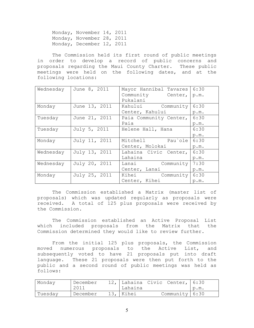Monday, November 14, 2011 Monday, November 28, 2011 Monday, December 12, 2011

 The Commission held its first round of public meetings in order to develop a record of public concerns and proposals regarding the Maui County Charter. These public meetings were held on the following dates, and at the following locations:

| Wednesday | June 8, 2011  | Mayor Hannibal Tavares | 6:30 |
|-----------|---------------|------------------------|------|
|           |               | Community Center,      | p.m. |
|           |               | Pukalani               |      |
| Monday    | June 13, 2011 | Kahului Community      | 6:30 |
|           |               | Center, Kahului        | p.m. |
| Tuesday   | June 21, 2011 | Paia Community Center, | 6:30 |
|           |               | Paia                   | p.m. |
| Tuesday   | July 5, 2011  | Helene Hall, Hana      | 6:30 |
|           |               |                        | p.m. |
| Monday    | July 11, 2011 | Mitchell Pau'ole       | 6:30 |
|           |               | Center, Molokai        | p.m. |
| Wednesday | July 13, 2011 | Lahaina Civic Center,  | 6:30 |
|           |               | Lahaina                | p.m. |
| Wednesday | July 20, 2011 | Lanai Community        | 7:30 |
|           |               | Center, Lanai          | p.m. |
| Monday    | July 25, 2011 | Kihei Community        | 6:30 |
|           |               | Center, Kihei          | p.m. |

 The Commission established a Matrix (master list of proposals) which was updated regularly as proposals were received. A total of 125 plus proposals were received by the Commission.

 The Commission established an Active Proposal List which included proposals from the Matrix that the Commission determined they would like to review further.

 From the initial 125 plus proposals, the Commission moved numerous proposals to the Active List, and subsequently voted to have 21 proposals put into draft language. These 21 proposals were then put forth to the public and a second round of public meetings was held as follows:

| Monday  | December |             | 12, Lahaina Civic Center, 6:30 |        |
|---------|----------|-------------|--------------------------------|--------|
|         | 2011     | Lahaina     |                                | 1 p.m. |
| Tuesday | December | $13,$ Kihei | Community 6:30                 |        |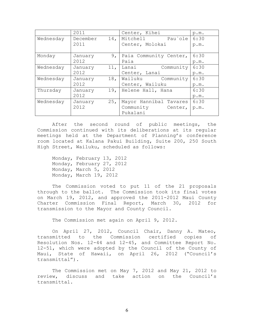|           | 2011     |                 | Center, Kihei                 | p.m. |
|-----------|----------|-----------------|-------------------------------|------|
| Wednesday | December | 14 <sub>1</sub> | Mitchell Pau'ole              | 6:30 |
|           | 2011     |                 | Center, Molokai               | p.m. |
| Monday    | January  | 9,              | Paia Community Center,        | 6:30 |
|           | 2012     |                 | Paia                          | p.m. |
| Wednesday | January  | 11,             | Lanai<br>Community            | 6:30 |
|           | 2012     |                 | Center, Lanai                 | p.m. |
| Wednesday | January  | 18,             | Wailuku Community             | 6:30 |
|           | 2012     |                 | Center, Wailuku               | p.m. |
| Thursday  | January  |                 | 19, Helene Hall, Hana         | 6:30 |
|           | 2012     |                 |                               | p.m. |
| Wednesday | January  | 25 <sub>1</sub> | Mayor Hannibal Tavares        | 6:30 |
|           | 2012     |                 | Community Center,<br>Pukalani | p.m. |

 After the second round of public meetings, the Commission continued with its deliberations at its regular meetings held at the Department of Planning's conference room located at Kalana Pakui Building, Suite 200, 250 South High Street, Wailuku, scheduled as follows:

 Monday, February 13, 2012 Monday, February 27, 2012 Monday, March 5, 2012 Monday, March 19, 2012

 The Commission voted to put 11 of the 21 proposals through to the ballot. The Commission took its final votes on March 19, 2012, and approved the 2011-2012 Maui County Charter Commission Final Report, March 30, 2012 for transmission to the Mayor and County Council.

The Commission met again on April 9, 2012.

 On April 27, 2012, Council Chair, Danny A. Mateo, transmitted to the Commission certified copies of Resolution Nos. 12-44 and 12-45, and Committee Report No. 12-51, which were adopted by the Council of the County of Maui, State of Hawaii, on April 26, 2012 ("Council's transmittal").

 The Commission met on May 7, 2012 and May 21, 2012 to review, discuss and take action on the Council's transmittal.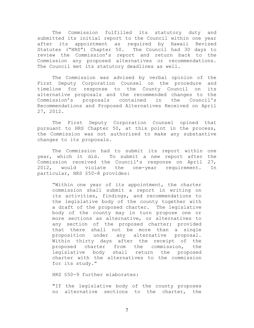The Commission fulfilled its statutory duty and submitted its initial report to the Council within one year after its appointment as required by Hawaii Revised Statutes ("HRS") Chapter 50. The Council had 30 days to review the Commission's report and return back to the Commission any proposed alternatives or recommendations. The Council met its statutory deadlines as well.

The Commission was advised by verbal opinion of the First Deputy Corporation Counsel on the procedure and timeline for response to the County Council on its alternative proposals and the recommended changes to the Commission's proposals contained in the Council's Recommendations and Proposed Alternatives Received on April 27, 2012.

The First Deputy Corporation Counsel opined that pursuant to HRS Chapter 50, at this point in the process, the Commission was not authorized to make any substantive changes to its proposals.

The Commission had to submit its report within one year, which it did. To submit a new report after the Commission received the Council's response on April 27, 2012, would violate the one-year requirement. In particular, HRS §50-8 provides:

"Within one year of its appointment, the charter commission shall submit a report in writing on its activities, findings, and recommendations to the legislative body of the county together with a draft of the proposed charter. The legislative body of the county may in turn propose one or more sections as alternative, or alternatives to any section of the proposed charter; provided that there shall not be more than a single proposition under any alternative proposal. Within thirty days after the receipt of the proposed charter from the commission, the legislative body shall return the proposed charter with the alternatives to the commission for its study."

HRS §50-9 further elaborates:

"If the legislative body of the county proposes no alternative sections to the charter, the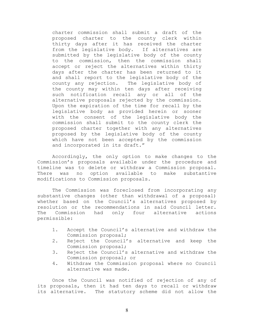charter commission shall submit a draft of the proposed charter to the county clerk within thirty days after it has received the charter from the legislative body. If alternatives are submitted by the legislative body of the county to the commission, then the commission shall accept or reject the alternatives within thirty days after the charter has been returned to it and shall report to the legislative body of the county any rejection. The legislative body of the county may within ten days after receiving such notification recall any or all of the alternative proposals rejected by the commission. Upon the expiration of the time for recall by the legislative body as provided herein or sooner with the consent of the legislative body the commission shall submit to the county clerk the proposed charter together with any alternatives proposed by the legislative body of the county which have not been accepted by the commission and incorporated in its draft."

Accordingly, the only option to make changes to the Commission's proposals available under the procedure and timeline was to delete or withdraw a Commission proposal. There was no option available to make substantive modifications to Commission proposals.

The Commission was foreclosed from incorporating any substantive changes (other than withdrawal of a proposal) whether based on the Council's alternatives proposed by resolution or the recommendations in said Council letter. The Commission had only four alternative actions permissible:

- 1. Accept the Council's alternative and withdraw the Commission proposal;
- 2. Reject the Council's alternative and keep the Commission proposal;
- 3. Reject the Council's alternative and withdraw the Commission proposal; or
- 4. Withdraw the Commission proposal where no Council alternative was made.

Once the Council was notified of rejection of any of its proposals, then it had ten days to recall or withdraw its alternative. The statutory scheme did not allow the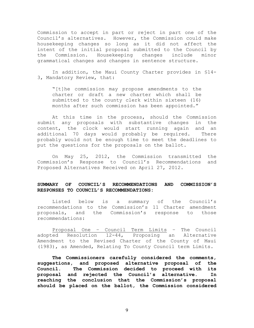Commission to accept in part or reject in part one of the Council's alternatives. However, the Commission could make housekeeping changes so long as it did not affect the intent of the initial proposal submitted to the Council by the Commission. Housekeeping changes include minor grammatical changes and changes in sentence structure.

In addition, the Maui County Charter provides in §14- 3, Mandatory Review, that:

"[t]he commission may propose amendments to the charter or draft a new charter which shall be submitted to the county clerk within sixteen (16) months after such commission has been appointed."

At this time in the process, should the Commission submit any proposals with substantive changes in the content, the clock would start running again and an additional 70 days would probably be required. There probably would not be enough time to meet the deadlines to put the questions for the proposals on the ballot.

 On May 25, 2012, the Commission transmitted the Commission's Response to Council's Recommendations and Proposed Alternatives Received on April 27, 2012.

### SUMMARY OF COUNCIL'S RECOMMENDATIONS AND COMMISSION'S RESPONSES TO COUNCIL'S RECOMMENDATIONS:

 Listed below is a summary of the Council's recommendations to the Commission's 11 Charter amendment proposals, and the Commission's response to those recommendations:

 Proposal One – Council Term Limits – The Council adopted Resolution 12-44, Proposing an Alternative Amendment to the Revised Charter of the County of Maui (1983), as Amended, Relating To County Council term Limits.

The Commissioners carefully considered the comments, suggestions, and proposed alternative proposal of the Council. The Commission decided to proceed with its proposal and rejected the Council's alternative. In reaching the conclusion that the Commission's proposal should be placed on the ballot, the Commission considered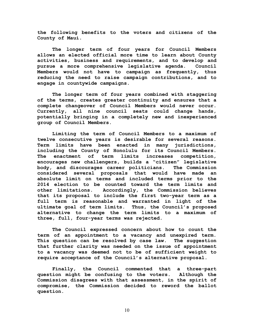the following benefits to the voters and citizens of the County of Maui.

The longer term of four years for Council Members allows an elected official more time to learn about County activities, business and requirements, and to develop and pursue a more comprehensive legislative agenda. Council Members would not have to campaign as frequently, thus reducing the need to raise campaign contributions, and to engage in countywide campaigns.

The longer term of four years combined with staggering of the terms, creates greater continuity and ensures that a complete changeover of Council Members would never occur. Currently, all nine council seats could change hands, potentially bringing in a completely new and inexperienced group of Council Members.

Limiting the term of Council Members to a maximum of twelve consecutive years is desirable for several reasons. Term limits have been enacted in many jurisdictions, including the County of Honolulu for its Council Members. The enactment of term limits increases competition, encourages new challengers, builds a "citizen" legislative body, and discourages career politicians. The Commission considered several proposals that would have made an absolute limit on terms and included terms prior to the 2014 election to be counted toward the term limits and other limitations. Accordingly, the Commission believes that its proposal to include the first two-year term as a full term is reasonable and warranted in light of the ultimate goal of term limits. Thus, the Council's proposed alternative to change the term limits to a maximum of three, full, four-year terms was rejected.

The Council expressed concern about how to count the term of an appointment to a vacancy and unexpired term. This question can be resolved by case law. The suggestion that further clarity was needed on the issue of appointment to a vacancy was deemed not to be of sufficient weight to require acceptance of the Council's alternative proposal.

Finally, the Council commented that a three-part question might be confusing to the voters. Although the Commission disagrees with that assessment, in the spirit of compromise, the Commission decided to reword the ballot question.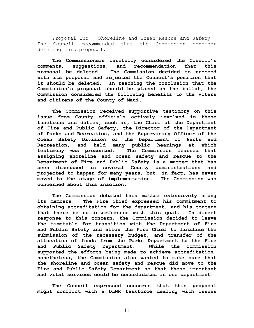Proposal Two – Shoreline and Ocean Rescue and Safety – The Council recommended that the Commission consider deleting this proposal.

The Commissioners carefully considered the Council's comments, suggestions, and recommendation that this proposal be deleted. The Commission decided to proceed with its proposal and rejected the Council's position that it should be deleted. In reaching the conclusion that the Commission's proposal should be placed on the ballot, the Commission considered the following benefits to the voters and citizens of the County of Maui.

The Commission received supportive testimony on this issue from County officials actively involved in these functions and duties, such as, the Chief of the Department of Fire and Public Safety, the Director of the Department of Parks and Recreation, and the Supervising Officer of the Ocean Safety Division of the Department of Parks and Recreation, and held many public hearings at which testimony was presented. The Commission learned that assigning shoreline and ocean safety and rescue to the Department of Fire and Public Safety is a matter that has been discussed in several County administrations and projected to happen for many years, but, in fact, has never moved to the stage of implementation. The Commission was concerned about this inaction.

The Commission debated this matter extensively among its members. The Fire Chief expressed his commitment to obtaining accreditation for the department, and his concern that there be no interference with this goal. In direct response to this concern, the Commission decided to leave the timetable for transition with the Department of Fire and Public Safety and allow the Fire Chief to finalize the submission of the necessary budget, and transfer of the allocation of funds from the Parks Department to the Fire and Public Safety Department. While the Commission supported the efforts being made to achieve accreditation, nonetheless, the Commission also wanted to make sure that the shoreline and ocean safety and rescue did move to the Fire and Public Safety Department so that these important and vital services could be consolidated in one department.

The Council expressed concerns that this proposal might conflict with a DLNR taskforce dealing with issues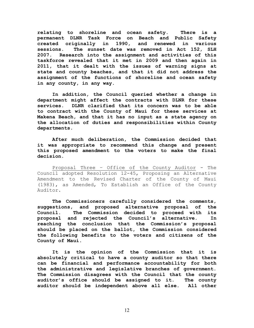relating to shoreline and ocean safety. There is a permanent DLNR Task Force on Beach and Public Safety created originally in 1990, and renewed in various sessions. The sunset date was removed in Act 152, SLH 2007. Research into the assignment and activities of this taskforce revealed that it met in 2009 and then again in 2011, that it dealt with the issues of warning signs at state and county beaches, and that it did not address the assignment of the functions of shoreline and ocean safety in any county, in any way.

In addition, the Council queried whether a change in department might affect the contracts with DLNR for these services. DLNR clarified that its concern was to be able to contract with the County of Maui for these services at Makena Beach, and that it has no input as a state agency on the allocation of duties and responsibilities within County departments.

After much deliberation, the Commission decided that it was appropriate to recommend this change and present this proposed amendment to the voters to make the final decision.

 Proposal Three – Office of the County Auditor - The Council adopted Resolution 12-45, Proposing an Alternative Amendment to the Revised Charter of the County of Maui (1983), as Amended, To Establish an Office of the County Auditor.

The Commissioners carefully considered the comments, suggestions, and proposed alternative proposal of the Council. The Commission decided to proceed with its proposal and rejected the Council's alternative. In reaching the conclusion that the Commission's proposal should be placed on the ballot, the Commission considered the following benefits to the voters and citizens of the County of Maui.

 It is the opinion of the Commission that it is absolutely critical to have a county auditor so that there can be financial and performance accountability for both the administrative and legislative branches of government. The Commission disagrees with the Council that the county auditor's office should be assigned to it. The county auditor should be independent above all else. All other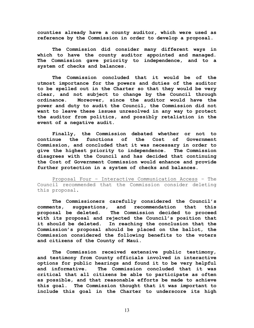counties already have a county auditor, which were used as reference by the Commission in order to develop a proposal.

 The Commission did consider many different ways in which to have the county auditor appointed and managed. The Commission gave priority to independence, and to a system of checks and balances.

 The Commission concluded that it would be of the utmost importance for the powers and duties of the auditor to be spelled out in the Charter so that they would be very clear, and not subject to change by the Council through ordinance. Moreover, since the auditor would have the power and duty to audit the Council, the Commission did not want to leave these issues unresolved in any way to protect the auditor from politics, and possibly retaliation in the event of a negative audit.

 Finally, the Commission debated whether or not to continue the functions of the Cost of Government Commission, and concluded that it was necessary in order to give the highest priority to independence. The Commission disagrees with the Council and has decided that continuing the Cost of Government Commission would enhance and provide further protection in a system of checks and balances.

 Proposal Four – Interactive Communication Access – The Council recommended that the Commission consider deleting this proposal.

The Commissioners carefully considered the Council's comments, suggestions, and recommendation that this proposal be deleted. The Commission decided to proceed with its proposal and rejected the Council's position that it should be deleted. In reaching the conclusion that the Commission's proposal should be placed on the ballot, the Commission considered the following benefits to the voters and citizens of the County of Maui.

The Commission received extensive public testimony, and testimony from County officials involved in interactive options for public hearings and found it to be very helpful and informative. The Commission concluded that it was critical that all citizens be able to participate as often as possible, and that reasonable efforts be made to achieve this goal. The Commission thought that it was important to include this goal in the Charter to underscore its high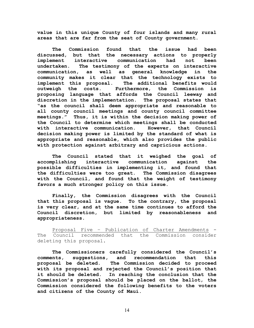value in this unique County of four islands and many rural areas that are far from the seat of County government.

The Commission found that the issue had been discussed, but that the necessary actions to properly implement interactive communication had not been undertaken. The testimony of the experts on interactive communication, as well as general knowledge in the community makes it clear that the technology exists to implement this proposal. The additional benefits would outweigh the costs. Furthermore, the Commission is proposing language that affords the Council leeway and discretion in the implementation. The proposal states that "as the council shall deem appropriate and reasonable to all county council meetings and county council committee meetings." Thus, it is within the decision making power of the Council to determine which meetings shall be conducted with interactive communication. However, that Council decision making power is limited by the standard of what is appropriate and reasonable, which also provides the public with protection against arbitrary and capricious actions.

The Council stated that it weighed the goal of accomplishing interactive communication against the possible difficulties in implementing it, and found that the difficulties were too great. The Commission disagrees with the Council, and found that the weight of testimony favors a much stronger policy on this issue.

Finally, the Commission disagrees with the Council that this proposal is vague. To the contrary, the proposal is very clear, and at the same time continues to afford the Council discretion, but limited by reasonableness and appropriateness.

 Proposal Five – Publication of Charter Amendments - The Council recommended that the Commission consider deleting this proposal.

The Commissioners carefully considered the Council's comments, suggestions, and recommendation that this proposal be deleted. The Commission decided to proceed with its proposal and rejected the Council's position that it should be deleted. In reaching the conclusion that the Commission's proposal should be placed on the ballot, the Commission considered the following benefits to the voters and citizens of the County of Maui.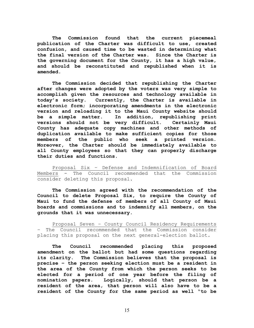The Commission found that the current piecemeal publication of the Charter was difficult to use, created confusion, and caused time to be wasted in determining what the final version of the Charter was. Since the Charter is the governing document for the County, it has a high value, and should be reconstituted and republished when it is amended.

The Commission decided that republishing the Charter after changes were adopted by the voters was very simple to accomplish given the resources and technology available in today's society. Currently, the Charter is available in electronic form; incorporating amendments in the electronic version and reloading it to the Maui County website should be a simple matter. In addition, republishing print versions should not be very difficult. Certainly Maui County has adequate copy machines and other methods of duplication available to make sufficient copies for those members of the public who seek a printed version. Moreover, the Charter should be immediately available to all County employees so that they can properly discharge their duties and functions.

 Proposal Six – Defense and Indemnification of Board Members - The Council recommended that the Commission consider deleting this proposal.

The Commission agreed with the recommendation of the Council to delete Proposal Six, to require the County of Maui to fund the defense of members of all County of Maui boards and commissions and to indemnify all members, on the grounds that it was unnecessary.

 Proposal Seven – County Council Residency Requirements – The Council recommended that the Commission consider placing this proposal on the next general-election ballot.

The Council recommended placing this proposed amendment on the ballot but had some questions regarding its clarity. The Commission believes that the proposal is precise – the person seeking election must be a resident in the area of the County from which the person seeks to be elected for a period of one year before the filing of nomination papers. Logically, should that person be a resident of the area, that person will also have to be a resident of the County for the same period as well "to be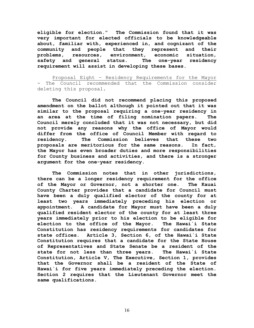eligible for election." The Commission found that it was very important for elected officials to be knowledgeable about, familiar with, experienced in, and cognizant of the community and people that they represent and their problems, resources, environment, economic situation, safety and general status. The one-year residency requirement will assist in developing these bases.

Proposal Eight – Residency Requirements for the Mayor - The Council recommended that the Commission consider deleting this proposal.

The Council did not recommend placing this proposed amendment on the ballot although it pointed out that it was similar to the proposal requiring a one-year residency in an area at the time of filing nomination papers. The Council merely concluded that it was not necessary, but did not provide any reasons why the office of Mayor would differ from the office of Council Member with regard to residency. The Commission believes that these two proposals are meritorious for the same reasons. In fact, the Mayor has even broader duties and more responsibilities for County business and activities, and there is a stronger argument for the one-year residency.

The Commission notes that in other jurisdictions, there can be a longer residency requirement for the office of the Mayor or Governor, not a shorter one. The Kauai County Charter provides that a candidate for Council must have been a duly qualified elector of the county for at least two years immediately preceding his election or appointment. A candidate for Mayor must have been a duly qualified resident elector of the county for at least three years immediately prior to his election to be eligible for election to the office of the Mayor. The Hawai`i State Constitution has residency requirements for candidates for state offices. Article 3, Section 6, of the Hawai`i State Constitution requires that a candidate for the State House of Representatives and State Senate be a resident of the state for not less than three years. The Hawai`i State Constitution, Article V, The Executive, Section 1, provides that the Governor shall be a resident of the State of Hawai`i for five years immediately preceding the election. Section 2 requires that the Lieutenant Governor meet the same qualifications.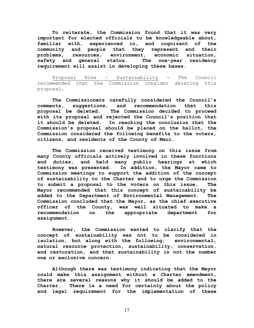To reiterate, the Commission found that it was very important for elected officials to be knowledgeable about, familiar with, experienced in, and cognizant of the community and people that they represent and their problems, resources, environment, economic situation, safety and general status. The one-year residency requirement will assist in developing these bases.

 Proposal Nine – Sustainability - The Council recommended that the Commission consider deleting this proposal.

The Commissioners carefully considered the Council's comments, suggestions, and recommendation that this proposal be deleted. The Commission decided to proceed with its proposal and rejected the Council's position that it should be deleted. In reaching the conclusion that the Commission's proposal should be placed on the ballot, the Commission considered the following benefits to the voters, citizens, and residents of the County of Maui.

The Commission received testimony on this issue from many County officials actively involved in these functions and duties, and held many public hearings at which testimony was presented. In addition, the Mayor came to Commission meetings to support the addition of the concept of sustainability to the Charter and to urge the Commission to submit a proposal to the voters on this issue. The Mayor recommended that this concept of sustainability be added to the Department of Environmental Management. The Commission concluded that the Mayor, as the chief executive officer of the County, was well situated to make a recommendation on the appropriate department for assignment.

However, the Commission wanted to clarify that the concept of sustainability was not to be considered in isolation, but along with the following: environmental, natural resource protection, sustainability, conservation, and restoration, and that sustainability is not the number one or exclusive concern.

Although there was testimony indicating that the Mayor could make this assignment without a Charter amendment, there are several reasons why it should be added to the Charter. There is a need for certainty about the policy and legal requirement for the implementation of these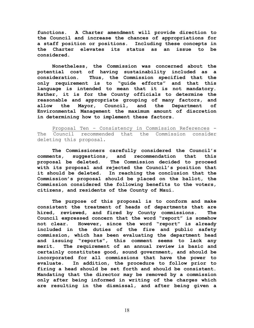functions. A Charter amendment will provide direction to the Council and increase the chances of appropriations for a staff position or positions. Including these concepts in the Charter elevates its status as an issue to be considered.

Nonetheless, the Commission was concerned about the potential cost of having sustainability included as a consideration. Thus, the Commission specified that the only requirement is to "guide efforts" and that this language is intended to mean that it is not mandatory. Rather, it is for the County officials to determine the reasonable and appropriate grouping of many factors, and allow the Mayor, Council, and the Department of Environmental Management the maximum amount of discretion in determining how to implement these factors.

 Proposal Ten – Consistency in Commission References - The Council recommended that the Commission consider deleting this proposal.

The Commissioners carefully considered the Council's comments, suggestions, and recommendation that this proposal be deleted. The Commission decided to proceed with its proposal and rejected the Council's position that it should be deleted. In reaching the conclusion that the Commission's proposal should be placed on the ballot, the Commission considered the following benefits to the voters, citizens, and residents of the County of Maui.

 The purpose of this proposal is to conform and make consistent the treatment of heads of departments that are hired, reviewed, and fired by County commissions. The Council expressed concern that the word "report" is somehow not clear. However, since the word "report" is already included in the duties of the fire and public safety commission, which has been evaluating the department head and issuing "reports", this comment seems to lack any merit. The requirement of an annual review is basic and certainly constitutes good, sound government, and should be incorporated for all commissions that have the power to evaluate. In addition, the procedure to follow prior to firing a head should be set forth and should be consistent. Mandating that the director may be removed by a commission only after being informed in writing of the charges which are resulting in the dismissal, and after being given a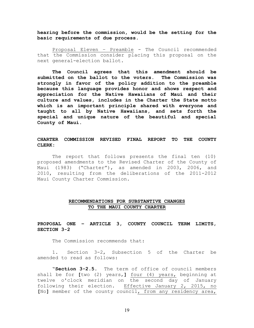hearing before the commission, would be the setting for the basic requirements of due process.

 Proposal Eleven – Preamble - The Council recommended that the Commission consider placing this proposal on the next general-election ballot.

The Council agrees that this amendment should be submitted on the ballot to the voters. The Commission was strongly in favor of the policy addition to the preamble because this language provides honor and shows respect and appreciation for the Native Hawaiians of Maui and their culture and values, includes in the Charter the State motto which is an important principle shared with everyone and taught to all by Native Hawaiians, and sets forth the special and unique nature of the beautiful and special County of Maui.

#### CHARTER COMMISSION REVISED FINAL REPORT TO THE COUNTY CLERK:

 The report that follows presents the final ten (10) proposed amendments to the Revised Charter of the County of Maui (1983) ("Charter"), as amended in 2003, 2006, and 2010, resulting from the deliberations of the 2011-2012 Maui County Charter Commission.

#### RECOMMENDATIONS FOR SUBSTANTIVE CHANGES TO THE MAUI COUNTY CHARTER

PROPOSAL ONE – ARTICLE 3, COUNTY COUNCIL TERM LIMITS, SECTION 3-2

The Commission recommends that:

 1. Section 3-2, Subsection 5 of the Charter be amended to read as follows:

 "Section 3-2.5. The term of office of council members shall be for [two (2) years,] four (4) years, beginning at twelve o'clock meridian on the second day of January following their election. Effective January 2, 2015, no [No] member of the county council, from any residency area,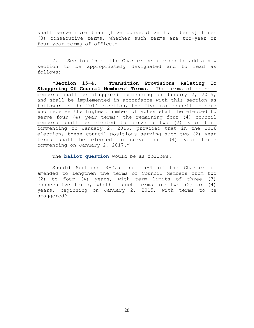shall serve more than [five consecutive full terms] three (3) consecutive terms, whether such terms are two-year or four-year terms of office."

 2. Section 15 of the Charter be amended to add a new section to be appropriately designated and to read as follows:

"Section 15-4. Transition Provisions Relating To Staggering Of Council Members' Terms. The terms of council members shall be staggered commencing on January 2, 2015, and shall be implemented in accordance with this section as follows: in the 2014 election, the five (5) council members who receive the highest number of votes shall be elected to serve four (4) year terms; the remaining four (4) council members shall be elected to serve a two (2) year term commencing on January 2, 2015, provided that in the 2016 election, these council positions serving such two (2) year terms shall be elected to serve four (4) year terms commencing on January 2, 2017."

The **ballot question** would be as follows:

Should Sections 3-2.5 and 15-4 of the Charter be amended to lengthen the terms of Council Members from two (2) to four (4) years, with term limits of three (3) consecutive terms, whether such terms are two (2) or (4) years, beginning on January 2, 2015, with terms to be staggered?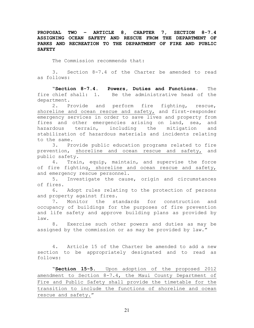PROPOSAL TWO – ARTICLE 8, CHAPTER 7, SECTION 8-7.4 ASSIGNING OCEAN SAFETY AND RESCUE FROM THE DEPARTMENT OF PARKS AND RECREATION TO THE DEPARTMENT OF FIRE AND PUBLIC SAFETY

The Commission recommends that:

 3. Section 8-7.4 of the Charter be amended to read as follows:

 "Section 8-7.4. Powers, Duties and Functions. The fire chief shall: 1. Be the administrative head of the department.

 2. Provide and perform fire fighting, rescue, shoreline and ocean rescue and safety, and first-responder emergency services in order to save lives and property from fires and other emergencies arising on land, sea, and hazardous terrain, including the mitigation and stabilization of hazardous materials and incidents relating to the same.

 3. Provide public education programs related to fire prevention, shoreline and ocean rescue and safety, and public safety.

 4. Train, equip, maintain, and supervise the force of fire fighting, shoreline and ocean rescue and safety, and emergency rescue personnel.

 5. Investigate the cause, origin and circumstances of fires.

6. Adopt rules relating to the protection of persons and property against fires.

7. Monitor the standards for construction and occupancy of buildings for the purposes of fire prevention and life safety and approve building plans as provided by law.

 8. Exercise such other powers and duties as may be assigned by the commission or as may be provided by law."

4. Article 15 of the Charter be amended to add a new section to be appropriately designated and to read as follows:

"Section 15-5. Upon adoption of the proposed 2012 amendment to Section 8-7.4, the Maui County Department of Fire and Public Safety shall provide the timetable for the transition to include the functions of shoreline and ocean rescue and safety."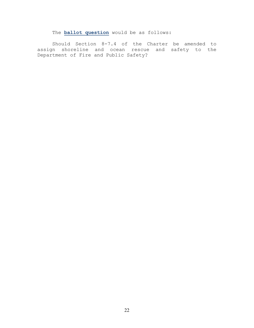The **ballot question** would be as follows:

 Should Section 8-7.4 of the Charter be amended to assign shoreline and ocean rescue and safety to the Department of Fire and Public Safety?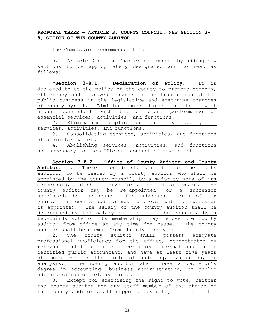## PROPOSAL THREE – ARTICLE 3, COUNTY COUNCIL, NEW SECTION 3- 8, OFFICE OF THE COUNTY AUDITOR

The Commission recommends that:

 5. Article 3 of the Charter be amended by adding new sections to be appropriately designated and to read as follows:

"Section 3-8.1. Declaration of Policy. It is declared to be the policy of the county to promote economy, efficiency and improved service in the transaction of the public business in the legislative and executive branches of county by: 1. Limiting expenditures to the lowest amount consistent with the efficient performance of essential services, activities, and functions.

2. Eliminating duplication and overlapping of services, activities, and functions.

3. Consolidating services, activities, and functions of a similar nature.

4. Abolishing services, activities, and functions not necessary to the efficient conduct of government.

Section 3-8.2. Office of County Auditor and County Auditor. 1. There is established an office of the county auditor, to be headed by a county auditor who shall be appointed by the county council, by a majority vote of its membership, and shall serve for a term of six years. The county auditor may be re-appointed, or a successor appointed, by the council for subsequent terms of six years. The county auditor may hold over until a successor is appointed. The salary of the county auditor shall be determined by the salary commission. The council, by a two-thirds vote of its membership, may remove the county auditor from office at any time for cause. The county auditor shall be exempt from the civil service.

2. The county auditor shall possess adequate professional proficiency for the office, demonstrated by relevant certification as a certified internal auditor or certified public accountant, and have at least five years of experience in the field of auditing, evaluation, or analysis. The county auditor shall have a bachelor's degree in accounting, business administration, or public administration or related field.

|  |                                                           |  | Except for exercising the right to vote, neither |  |  |  |  |  |  |  |
|--|-----------------------------------------------------------|--|--------------------------------------------------|--|--|--|--|--|--|--|
|  | the county auditor nor any staff member of the office of  |  |                                                  |  |  |  |  |  |  |  |
|  | the county auditor shall support, advocate, or aid in the |  |                                                  |  |  |  |  |  |  |  |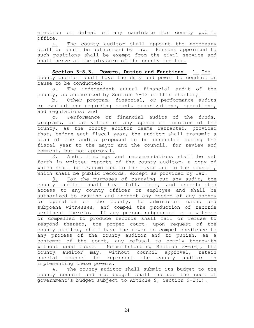election or defeat of any candidate for county public office.

4. The county auditor shall appoint the necessary staff as shall be authorized by law. Persons appointed to such positions shall be exempt from the civil service and shall serve at the pleasure of the county auditor.

Section 3-8.3. Powers, Duties and Functions. 1. The county auditor shall have the duty and power to conduct or cause to be conducted:

a. The independent annual financial audit of the county, as authorized by Section 9-13 of this charter;

b. Other program, financial, or performance audits or evaluations regarding county organizations, operations, and regulations; and

c. Performance or financial audits of the funds, programs, or activities of any agency or function of the county, as the county auditor deems warranted; provided that, before each fiscal year, the auditor shall transmit a plan of the audits proposed to be conducted during the fiscal year to the mayor and the council, for review and comment, but not approval.

2. Audit findings and recommendations shall be set forth in written reports of the county auditor, a copy of which shall be transmitted to the mayor and to the council, which shall be public records, except as provided by law.

3. For the purposes of carrying out any audit, the county auditor shall have full, free, and unrestricted access to any county officer or employee and shall be authorized to examine and inspect any record of any agency or operation of the county, to administer oaths and subpoena witnesses, and compel the production of records pertinent thereto. If any person subpoenaed as a witness or compelled to produce records shall fail or refuse to respond thereto, the proper court, upon request of the county auditor, shall have the power to compel obedience to any process of the county auditor and to punish, as a contempt of the court, any refusal to comply therewith without good cause. Notwithstanding Section 3-6(6), the county auditor may, without council approval, retain special counsel to represent the county auditor in implementing these powers.

4. The county auditor shall submit its budget to the county council and its budget shall include the cost of government's budget subject to Article 9, Section 9-2(1).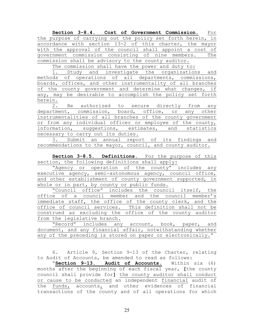Section 3-8.4. Cost of Government Commission. For the purpose of carrying out the policy set forth herein, in accordance with section 13-2 of this charter, the mayor with the approval of the council shall appoint a cost of government commission consisting of nine members. The commission shall be advisory to the county auditor.

The commission shall have the power and duty to:

1. Study and investigate the organizations and methods of operations of all departments, commissions, boards, offices, and other instrumentality of all branches of the county government and determine what changes, if any, may be desirable to accomplish the policy set forth herein.

2. Be authorized to secure directly from any department, commission, board, office, or any other instrumentalities of all branches of the county government or from any individual officer or employee of the county, information, suggestions, estimates, and statistics necessary to carry out its duties.

3. Submit an annual report of its findings and recommendations to the mayor, council, and county auditor.

Section 3-8.5. Definitions. For the purpose of this section, the following definitions shall apply:

"Agency or operation of the county" includes any executive agency, semi-autonomous agency, council office, and other establishment of county government supported, in whole or in part, by county or public funds.

"Council office" includes the council itself, the office of a council member and the council member's immediate staff, the office of the county clerk, and the office of council services. This definition shall not be construed as excluding the office of the county auditor from the legislative branch.

|  |  | "Record" includes any account, book, paper, and |  |  |  |  |  |  |  |                                                             |  |  |
|--|--|-------------------------------------------------|--|--|--|--|--|--|--|-------------------------------------------------------------|--|--|
|  |  |                                                 |  |  |  |  |  |  |  | document, and any financial affair, notwithstanding whether |  |  |
|  |  |                                                 |  |  |  |  |  |  |  | any of the preceding is stored on paper or electronically." |  |  |

 6. Article 9, Section 9-13 of the Charter, relating to Audit of Accounts, be amended to read as follows:

"Section 9-13. Audit of Accounts. Within six (6) months after the beginning of each fiscal year, [the county council shall provide for] the county auditor shall conduct or cause to be conducted an independent financial audit of the  $funds$ , accounts<sub>1</sub> and other evidences of financial</u> transactions of the county and of all operations for which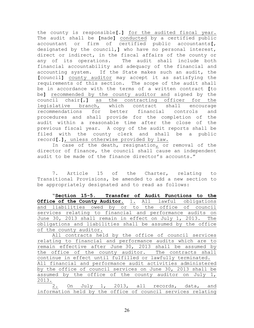the county is responsible<sup>[.]</sup> for the audited fiscal year. The audit shall be [made] conducted by a certified public accountant or firm of certified public accountants[, designated by the council,] who have no personal interest, direct or indirect, in the fiscal affairs of the county or any of its operations. The audit shall include both financial accountability and adequacy of the financial and accounting system. If the State makes such an audit, the [council] county auditor may accept it as satisfying the requirements of this section. The scope of the audit shall be in accordance with the terms of a written contract [to be] recommended by the county auditor and signed by the council chair[,] as the contracting officer for the legislative branch, which contract shall encourage recommendations for better financial controls and procedures and shall provide for the completion of the audit within a reasonable time after the close of the previous fiscal year. A copy of the audit reports shall be filed with the county clerk and shall be a public record[.], unless otherwise provided by law.

In case of the death, resignation, or removal of the director of finance, the council shall cause an independent audit to be made of the finance director's accounts."

7. Article 15 of the Charter, relating to Transitional Provisions, be amended to add a new section to be appropriately designated and to read as follows:

"Section 15-5. Transfer of Audit Functions to the Office of the County Auditor. 1. All lawful obligations and liabilities owed by or to the office of council services relating to financial and performance audits on June 30, 2013 shall remain in effect on July 1, 2013. The obligations and liabilities shall be assumed by the office of the county auditor.

All contracts held by the office of council services relating to financial and performance audits which are to remain effective after June 30, 2013 shall be assumed by the office of the county auditor. The contracts shall continue in effect until fulfilled or lawfully terminated. All financial and performance audit activities administered by the office of council services on June 30, 2013 shall be assumed by the office of the county auditor on July 1, 2013.

2. On July 1, 2013, all records, data, and information held by the office of council services relating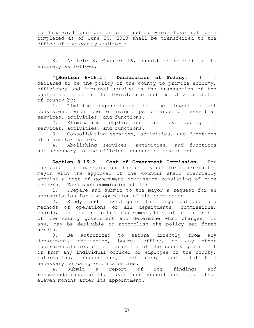to financial and performance audits which have not been completed as of June 30, 2013 shall be transferred to the office of the county auditor."

 8. Article 8, Chapter 16, should be deleted in its entirety as follows:

"[Section 8-16.1. Declaration of Policy. It is declared to be the policy of the county to promote economy, efficiency and improved service in the transaction of the public business in the legislative and executive branches of county by:

1. Limiting expenditures to the lowest amount consistent with the efficient performance of essential services, activities, and functions.

2. Eliminating duplication and overlapping of services, activities, and functions.

3. Consolidating services, activities, and functions of a similar nature.

4. Abolishing services, activities, and functions not necessary to the efficient conduct of government.

Section 8-16.2. Cost of Government Commission. For the purpose of carrying out the policy set forth herein the mayor with the approval of the council shall biennially appoint a cost of government commission consisting of nine members. Each such commission shall:

1. Prepare and submit to the mayor a request for an appropriation for the operation of the commission.

2. Study and investigate the organizations and methods of operations of all departments, commissions, boards, offices and other instrumentality of all branches of the county government and determine what changes, if any, may be desirable to accomplish the policy set forth herein.

3. Be authorized to secure directly from any department, commission, board, office, or any other instrumentalities of all branches of the county government or from any individual officer or employee of the county, information, suggestions, estimates, and statistics necessary to carry out its duties.

4. Submit a report of its findings and recommendations to the mayor and council not later than eleven months after its appointment.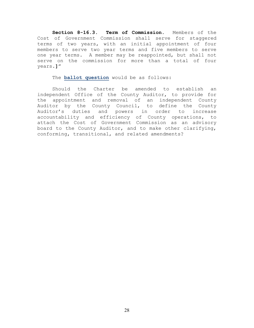Section 8-16.3. Term of Commission. Members of the Cost of Government Commission shall serve for staggered terms of two years, with an initial appointment of four members to serve two year terms and five members to serve one year terms. A member may be reappointed, but shall not serve on the commission for more than a total of four years.]"

The **ballot question** would be as follows:

 Should the Charter be amended to establish an independent Office of the County Auditor, to provide for the appointment and removal of an independent County Auditor by the County Council, to define the County Auditor's duties and powers in order to increase accountability and efficiency of County operations, to attach the Cost of Government Commission as an advisory board to the County Auditor, and to make other clarifying, conforming, transitional, and related amendments?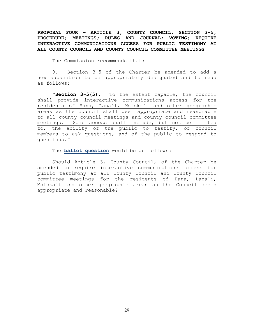PROPOSAL FOUR – ARTICLE 3, COUNTY COUNCIL, SECTION 3-5, PROCEDURE; MEETINGS; RULES AND JOURNAL; VOTING; REQUIRE INTERACTIVE COMMUNICATIONS ACCESS FOR PUBLIC TESTIMONY AT ALL COUNTY COUNCIL AND COUNTY COUNCIL COMMITTEE MEETINGS

The Commission recommends that:

 9. Section 3-5 of the Charter be amended to add a new subsection to be appropriately designated and to read as follows:

 "Section 3-5(5). To the extent capable, the council shall provide interactive communications access for the residents of Hana, Lana'i, Moloka`i and other geographic areas as the council shall deem appropriate and reasonable to all county council meetings and county council committee meetings. Said access shall include, but not be limited to, the ability of the public to testify, of council members to ask questions, and of the public to respond to questions."

The **ballot question** would be as follows:

 Should Article 3, County Council, of the Charter be amended to require interactive communications access for public testimony at all County Council and County Council committee meetings for the residents of Hana, Lana`i, Moloka`i and other geographic areas as the Council deems appropriate and reasonable?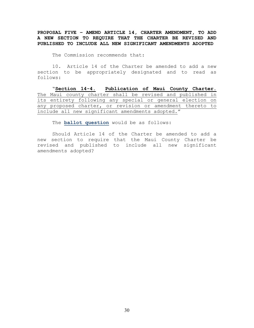PROPOSAL FIVE – AMEND ARTICLE 14, CHARTER AMENDMENT, TO ADD A NEW SECTION TO REQUIRE THAT THE CHARTER BE REVISED AND PUBLISHED TO INCLUDE ALL NEW SIGNIFICANT AMENDMENTS ADOPTED

The Commission recommends that:

 10. Article 14 of the Charter be amended to add a new section to be appropriately designated and to read as follows:

"Section 14-4. Publication of Maui County Charter. The Maui county charter shall be revised and published in its entirety following any special or general election on any proposed charter, or revision or amendment thereto to include all new significant amendments adopted."

The **ballot question** would be as follows:

Should Article 14 of the Charter be amended to add a new section to require that the Maui County Charter be revised and published to include all new significant amendments adopted?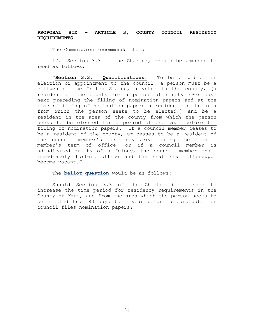# PROPOSAL SIX – ARTICLE 3, COUNTY COUNCIL RESIDENCY REQUIREMENTS

The Commission recommends that:

 12. Section 3.3 of the Charter, should be amended to read as follows:

 "Section 3.3. Qualifications. To be eligible for election or appointment to the council, a person must be a citizen of the United States, a voter in the county, [a resident of the county for a period of ninety (90) days next preceding the filing of nomination papers and at the time of filing of nomination papers a resident in the area from which the person seeks to be elected.] and be a resident in the area of the county from which the person seeks to be elected for a period of one year before the filing of nomination papers. If a council member ceases to be a resident of the county, or ceases to be a resident of the council member's residency area during the council member's term of office, or if a council member is adjudicated guilty of a felony, the council member shall immediately forfeit office and the seat shall thereupon become vacant."

The **ballot question** would be as follows:

Should Section 3.3 of the Charter be amended to increase the time period for residency requirements in the County of Maui, and from the area which the person seeks to be elected from 90 days to 1 year before a candidate for council files nomination papers?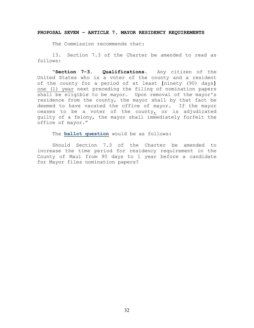#### PROPOSAL SEVEN – ARTICLE 7, MAYOR RESIDENCY REQUIREMENTS

The Commission recommends that:

 13. Section 7.3 of the Charter be amended to read as follows:

"Section 7-3. Qualifications. Any citizen of the United States who is a voter of the county and a resident of the county for a period of at least [ninety (90) days] one (1) year next preceding the filing of nomination papers shall be eligible to be mayor. Upon removal of the mayor's residence from the county, the mayor shall by that fact be deemed to have vacated the office of mayor. If the mayor ceases to be a voter of the county, or is adjudicated guilty of a felony, the mayor shall immediately forfeit the office of mayor."

The **ballot question** would be as follows:

Should Section 7.3 of the Charter be amended to increase the time period for residency requirement in the County of Maui from 90 days to 1 year before a candidate for Mayor files nomination papers?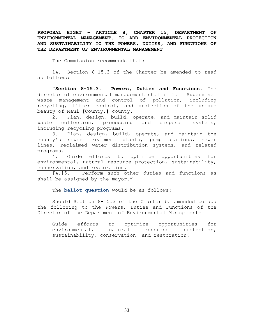PROPOSAL EIGHT – ARTICLE 8, CHAPTER 15, DEPARTMENT OF ENVIRONMENTAL MANAGEMENT, TO ADD ENVIRONMENTAL PROTECTION AND SUSTAINABILITY TO THE POWERS, DUTIES, AND FUNCTIONS OF THE DEPARTMENT OF ENVIRONMENTAL MANAGEMENT

The Commission recommends that:

 14. Section 8-15.3 of the Charter be amended to read as follows:

"Section 8-15.3. Powers, Duties and Functions. The director of environmental management shall: 1. Supervise waste management and control of pollution, including recycling, litter control, and protection of the unique beauty of Maui [County.] county.

2. Plan, design, build, operate, and maintain solid waste collection, processing and disposal systems, including recycling programs.

3. Plan, design, build, operate, and maintain the county's sewer treatment plants, pump stations, sewer lines, reclaimed water distribution systems, and related programs.

4. Guide efforts to optimize opportunities for environmental, natural resource protection, sustainability, conservation, and restoration.

[4.]5. Perform such other duties and functions as shall be assigned by the mayor."

The **ballot question** would be as follows:

Should Section 8-15.3 of the Charter be amended to add the following to the Powers, Duties and Functions of the Director of the Department of Environmental Management:

Guide efforts to optimize opportunities for environmental, natural resource protection, sustainability, conservation, and restoration?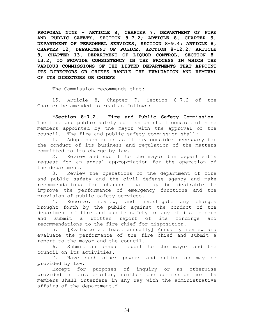PROPOSAL NINE - ARTICLE 8, CHAPTER 7, DEPARTMENT OF FIRE AND PUBLIC SAFETY, SECTION 8-7.2; ARTICLE 8, CHAPTER 9, DEPARTMENT OF PERSONNEL SERVICES, SECTION 8-9.4; ARTICLE 8, CHAPTER 12, DEPARTMENT OF POLICE, SECTION 8-12.2; ARTICLE 8, CHAPTER 13, DEPARTMENT OF LIQUOR CONTROL, SECTION 8- 13.2, TO PROVIDE CONSISTENCY IN THE PROCESS IN WHICH THE VARIOUS COMMISSIONS OF THE LISTED DEPARTMENTS THAT APPOINT ITS DIRECTORS OR CHIEFS HANDLE THE EVALUATION AND REMOVAL OF ITS DIRECTORS OR CHIEFS

The Commission recommends that:

 15. Article 8, Chapter 7, Section 8-7.2 of the Charter be amended to read as follows:

"Section 8-7.2. Fire and Public Safety Commission. The fire and public safety commission shall consist of nine members appointed by the mayor with the approval of the council. The fire and public safety commission shall:

1. Adopt such rules as it may consider necessary for the conduct of its business and regulation of the matters committed to its charge by law.

2. Review and submit to the mayor the department's request for an annual appropriation for the operation of the department.

3. Review the operations of the department of fire and public safety and the civil defense agency and make recommendations for changes that may be desirable to improve the performance of emergency functions and the provision of public safety services.

4. Receive, review, and investigate any charges brought forth by the public against the conduct of the department of fire and public safety or any of its members and submit a written report of its findings and recommendations to the fire chief for disposition.

5. [Evaluate at least annually] Annually review and evaluate the performance of the fire chief and submit a report to the mayor and the council.

6. Submit an annual report to the mayor and the council on its activities.

7. Have such other powers and duties as may be provided by law.

Except for purposes of inquiry or as otherwise provided in this charter, neither the commission nor its members shall interfere in any way with the administrative affairs of the department."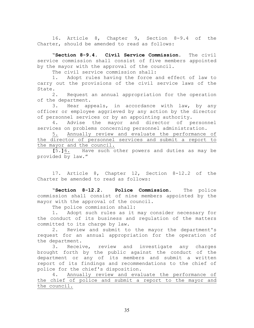16. Article 8, Chapter 9, Section 8-9.4 of the Charter, should be amended to read as follows:

"Section 8-9.4. Civil Service Commission. The civil service commission shall consist of five members appointed by the mayor with the approval of the council.

The civil service commission shall:

1. Adopt rules having the force and effect of law to carry out the provisions of the civil service laws of the State.

2. Request an annual appropriation for the operation of the department.

3. Hear appeals, in accordance with law, by any officer or employee aggrieved by any action by the director of personnel services or by an appointing authority.

4. Advise the mayor and director of personnel services on problems concerning personnel administration.

5. Annually review and evaluate the performance of the director of personnel services and submit a report to the mayor and the council.

[5.]6. Have such other powers and duties as may be provided by law."

 17. Article 8, Chapter 12, Section 8-12.2 of the Charter be amended to read as follows:

"Section 8-12.2. Police Commission. The police commission shall consist of nine members appointed by the mayor with the approval of the council.

The police commission shall:

1. Adopt such rules as it may consider necessary for the conduct of its business and regulation of the matters committed to its charge by law.

2. Review and submit to the mayor the department's request for an annual appropriation for the operation of the department.

3. Receive, review and investigate any charges brought forth by the public against the conduct of the department or any of its members and submit a written report of its findings and recommendations to the chief of police for the chief's disposition.

4. Annually review and evaluate the performance of the chief of police and submit a report to the mayor and the council.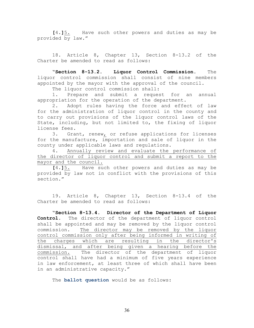[4.]5. Have such other powers and duties as may be provided by law."

 18. Article 8, Chapter 13, Section 8-13.2 of the Charter be amended to read as follows:

"Section 8-13.2. Liquor Control Commission. The liquor control commission shall consist of nine members appointed by the mayor with the approval of the council.

The liquor control commission shall:

1. Prepare and submit a request for an annual appropriation for the operation of the department.

2. Adopt rules having the force and effect of law for the administration of liquor control in the county and to carry out provisions of the liquor control laws of the State, including, but not limited to, the fixing of liquor license fees.

3. Grant, renew, or refuse applications for licenses for the manufacture, importation and sale of liquor in the county under applicable laws and regulations.

4. Annually review and evaluate the performance of the director of liquor control and submit a report to the mayor and the council.

[4.]5. Have such other powers and duties as may be provided by law not in conflict with the provisions of this section."

 19. Article 8, Chapter 13, Section 8-13.4 of the Charter be amended to read as follows:

"Section 8-13.4. Director of the Department of Liquor Control. The director of the department of liquor control shall be appointed and may be removed by the liquor control commission. The director may be removed by the liquor control commission only after being informed in writing of the charges which are resulting in the director's dismissal, and after being given a hearing before the commission. The director of the department of liquor control shall have had a minimum of five years experience in law enforcement, at least three of which shall have been in an administrative capacity."

The **ballot question** would be as follows: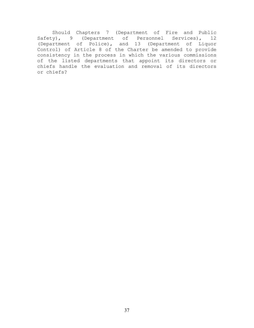Should Chapters 7 (Department of Fire and Public Safety), 9 (Department of Personnel Services), 12 (Department of Police), and 13 (Department of Liquor Control) of Article 8 of the Charter be amended to provide consistency in the process in which the various commissions of the listed departments that appoint its directors or chiefs handle the evaluation and removal of its directors or chiefs?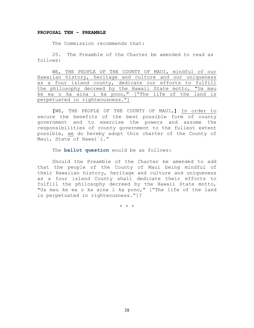#### PROPOSAL TEN – PREAMBLE

The Commission recommends that:

20. The Preamble of the Charter be amended to read as follows:

WE, THE PEOPLE OF THE COUNTY OF MAUI, mindful of our Hawaiian history, heritage and culture and our uniqueness as a four island county, dedicate our efforts to fulfill the philosophy decreed by the Hawaii State motto, "Ua mau ke ea o ka aina i ka pono," ["The life of the land is perpetuated in righteousness."]

[WE, THE PEOPLE OF THE COUNTY OF MAUI,] In order to secure the benefits of the best possible form of county government and to exercise the powers and assume the responsibilities of county government to the fullest extent possible, we do hereby adopt this charter of the County of Maui, State of Hawai`i."

The **ballot question** would be as follows:

Should the Preamble of the Charter be amended to add that the people of the County of Maui being mindful of their Hawaiian history, heritage and culture and uniqueness as a four island County shall dedicate their efforts to fulfill the philosophy decreed by the Hawaii State motto, "Ua mau ke ea o ka aina i ka pono," ["The life of the land is perpetuated in righteousness."]?

\* \* \*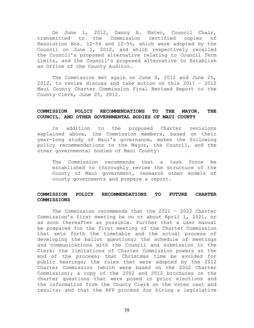On June 1, 2012, Danny A. Mateo, Council Chair, transmitted to the Commission certified copies of Resolution Nos. 12-54 and 12-55, which were adopted by the Council on June 1, 2012, and which respectively recalled the Council's proposed alternative relating to Council Term Limits, and the Council's proposed alternative to Establish an Office of the County Auditor.

 The Commission met again on June 4, 2012 and June 25, 2012, to review discuss and take action on this 2011 – 2012 Maui County Charter Commission Final Revised Report to the County Clerk, June 25, 2012.

#### COMMISSION POLICY RECOMMENDATIONS TO THE MAYOR, THE COUNCIL, AND OTHER GOVERNMENTAL BODIES OF MAUI COUNTY

In addition to the proposed Charter revisions explained above, the Commission members, based on their year-long study of Maui's governance, makes the following policy recommendations to the Mayor, the Council, and the other governmental bodies of Maui County:

The Commission recommends that a task force be established to thoroughly review the structure of the County of Maui government, research other models of county governments and prepare a report.

#### COMMISSION POLICY RECOMMENDATIONS TO FUTURE CHARTER COMMISSIONS

The Commission recommends that the 2021 – 2022 Charter Commission's first meeting be on or about April 1, 2021, or as soon thereafter as possible. Further that a user manual be prepared for the first meeting of the Charter Commission that sets forth the timetable and the actual process of developing the ballot questions; the schedule of meetings and communications with the Council and submission to the Clerk; the limitations of Charter Commission powers at the end of the process; that Christmas time be avoided for public hearings; the rules that were adopted by the 2012 Charter Commission (which were based on the 2002 Charter Commission); a copy of the 2002 and 2012 brochures on the charter questions that were posed in prior elections and the information from the County Clerk on the votes cast and results; and that the RFP process for hiring a legislative